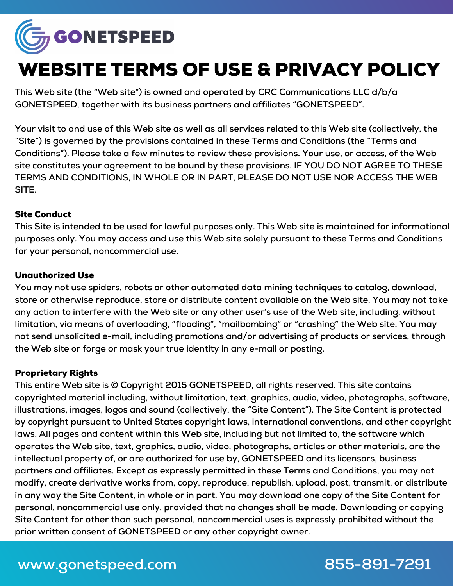

# WEBSITE TERMS OF USE & PRIVACY POLICY

**This Web site (the "Web site") is owned and operated by CRC Communications LLC d/b/a GONETSPEED, together with its business partners and affiliates "GONETSPEED".**

Your visit to and use of this Web site as well as all services related to this Web site (collectively, the **"Site") is governed by the provisions contained in these Terms and Conditions (the "Terms and Conditions"). Please take a few minutes to review these provisions. Your use, or access, of the Web site constitutes your agreement to be bound by these provisions. IF YOU DO NOT AGREE TO THESE TERMS AND CONDITIONS, IN WHOLE OR IN PART, PLEASE DO NOT USE NOR ACCESS THE WEB SITE.**

#### Site Conduct

This Site is intended to be used for lawful purposes only. This Web site is maintained for informational **purposes only. You may access and use this Web site solely pursuant to these Terms and Conditions for your personal, noncommercial use.**

### Unauthorized Use

**You may not use spiders, robots or other automated data mining techniques to catalog, download, store or otherwise reproduce, store or distribute content available on the Web site. You may not take** any action to interfere with the Web site or any other user's use of the Web site, including, without **limitation, via means of overloading, "flooding", "mailbombing" or "crashing" the Web site. You may not send unsolicited e-mail, including promotions and/or advertising of products or services, through the Web site or forge or mask your true identity in any e-mail or posting.**

### Proprietary Rights

**This entire Web site is © Copyright 2015 GONETSPEED, all rights reserved. This site contains copyrighted material including, without limitation, text, graphics, audio, video, photographs, software, illustrations, images, logos and sound (collectively, the "Site Content"). The Site Content is protected by copyright pursuant to United States copyright laws, international conventions, and other copyright laws. All pages and content within this Web site, including but not limited to, the software which operates the Web site, text, graphics, audio, video, photographs, articles or other materials, are the intellectual property of, or are authorized for use by, GONETSPEED and its licensors, business partners and affiliates. Except as expressly permitted in these Terms and Conditions, you may not modify, create derivative works from, copy, reproduce, republish, upload, post, transmit, or distribute** in any way the Site Content, in whole or in part. You may download one copy of the Site Content for **personal, noncommercial use only, provided that no changes shall be made. Downloading or copying Site Content for other than such personal, noncommercial uses is expressly prohibited without the prior written consent of GONETSPEED or any other copyright owner.**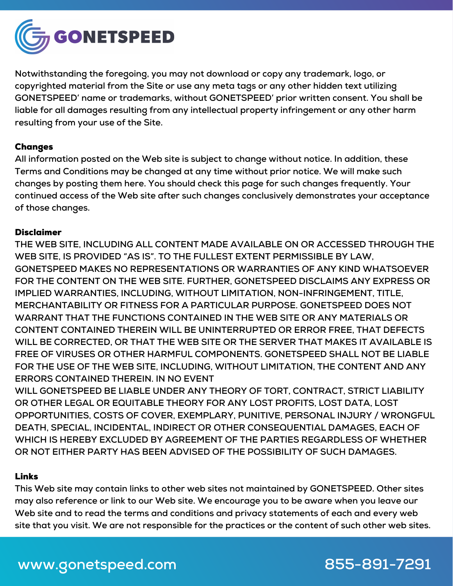

**Notwithstanding the foregoing, you may not download or copy any trademark, logo, or copyrighted material from the Site or use any meta tags or any other hidden text utilizing GONETSPEED' name or trademarks, without GONETSPEED' prior written consent. You shall be liable for all damages resulting from any intellectual property infringement or any other harm resulting from your use of the Site.**

#### Changes

**All information posted on the Web site is subject to change without notice. In addition, these Terms and Conditions may be changed at any time without prior notice. We will make such changes by posting them here. You should check this page for such changes frequently. Your continued access of the Web site after such changes conclusively demonstrates your acceptance of those changes.**

#### Disclaimer

**THE WEB SITE, INCLUDING ALL CONTENT MADE AVAILABLE ON OR ACCESSED THROUGH THE WEB SITE, IS PROVIDED "AS IS". TO THE FULLEST EXTENT PERMISSIBLE BY LAW, GONETSPEED MAKES NO REPRESENTATIONS OR WARRANTIES OF ANY KIND WHATSOEVER FOR THE CONTENT ON THE WEB SITE. FURTHER, GONETSPEED DISCLAIMS ANY EXPRESS OR IMPLIED WARRANTIES, INCLUDING, WITHOUT LIMITATION, NON-INFRINGEMENT, TITLE, MERCHANTABILITY OR FITNESS FOR A PARTICULAR PURPOSE. GONETSPEED DOES NOT WARRANT THAT THE FUNCTIONS CONTAINED IN THE WEB SITE OR ANY MATERIALS OR CONTENT CONTAINED THEREIN WILL BE UNINTERRUPTED OR ERROR FREE, THAT DEFECTS WILL BE CORRECTED, OR THAT THE WEB SITE OR THE SERVER THAT MAKES IT AVAILABLE IS FREE OF VIRUSES OR OTHER HARMFUL COMPONENTS. GONETSPEED SHALL NOT BE LIABLE FOR THE USE OF THE WEB SITE, INCLUDING, WITHOUT LIMITATION, THE CONTENT AND ANY ERRORS CONTAINED THEREIN. IN NO EVENT**

**WILL GONETSPEED BE LIABLE UNDER ANY THEORY OF TORT, CONTRACT, STRICT LIABILITY OR OTHER LEGAL OR EQUITABLE THEORY FOR ANY LOST PROFITS, LOST DATA, LOST OPPORTUNITIES, COSTS OF COVER, EXEMPLARY, PUNITIVE, PERSONAL INJURY / WRONGFUL DEATH, SPECIAL, INCIDENTAL, INDIRECT OR OTHER CONSEQUENTIAL DAMAGES, EACH OF WHICH IS HEREBY EXCLUDED BY AGREEMENT OF THE PARTIES REGARDLESS OF WHETHER OR NOT EITHER PARTY HAS BEEN ADVISED OF THE POSSIBILITY OF SUCH DAMAGES.**

### Links

**This Web site may contain links to other web sites not maintained by GONETSPEED. Other sites may also reference or link to our Web site. We encourage you to be aware when you leave our Web site and to read the terms and conditions and privacy statements of each and every web** site that you visit. We are not responsible for the practices or the content of such other web sites.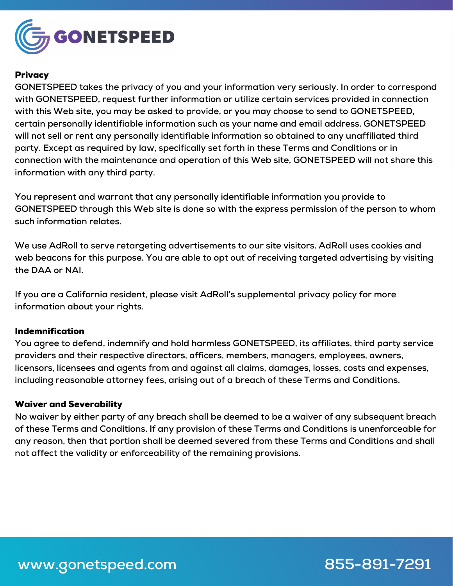

#### **Privacy**

**GONETSPEED takes the privacy of you and your information very seriously. In order to correspond with GONETSPEED, request further information or utilize certain services provided in connection with this Web site, you may be asked to provide, or you may choose to send to GONETSPEED, certain personally identifiable information such as your name and email address. GONETSPEED will not sell or rent any personally identifiable information so obtained to any unaffiliated third party. Except as required by law, specifically set forth in these Terms and Conditions or in connection with the maintenance and operation of this Web site, GONETSPEED will not share this information with any third party.**

**You represent and warrant that any personally identifiable information you provide to GONETSPEED through this Web site is done so with the express permission of the person to whom such information relates.**

**We use AdRoll to serve retargeting advertisements to our site visitors. AdRoll uses cookies and web beacons for this purpose. You are able to opt out of receiving targeted advertising by visiting the DAA or NAI.**

**If you are a California resident, please visit AdRoll's supplemental privacy policy for more information about your rights.**

#### Indemnification

**You agree to defend, indemnify and hold harmless GONETSPEED, its affiliates, third party service providers and their respective directors, officers, members, managers, employees, owners, licensors, licensees and agents from and against all claims, damages, losses, costs and expenses, including reasonable attorney fees, arising out of a breach of these Terms and Conditions.**

#### Waiver and Severability

No waiver by either party of any breach shall be deemed to be a waiver of any subsequent breach **of these Terms and Conditions. If any provision of these Terms and Conditions is unenforceable for any reason, then that portion shall be deemed severed from these Terms and Conditions and shall not affect the validity or enforceability of the remaining provisions.**